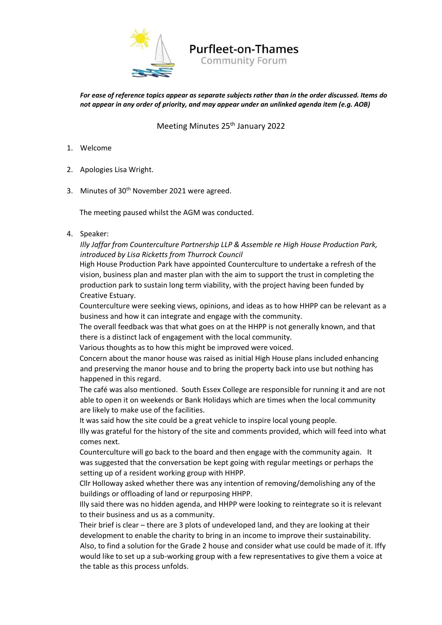

# **Purfleet-on-Thames**

**Community Forum** 

*For ease of reference topics appear as separate subjects rather than in the order discussed. Items do not appear in any order of priority, and may appear under an unlinked agenda item (e.g. AOB)* 

# Meeting Minutes 25<sup>th</sup> January 2022

- 1. Welcome
- 2. Apologies Lisa Wright.
- 3. Minutes of 30<sup>th</sup> November 2021 were agreed.

The meeting paused whilst the AGM was conducted.

4. Speaker:

# *Illy Jaffar from Counterculture Partnership LLP & Assemble re High House Production Park, introduced by Lisa Ricketts from Thurrock Council*

High House Production Park have appointed Counterculture to undertake a refresh of the vision, business plan and master plan with the aim to support the trust in completing the production park to sustain long term viability, with the project having been funded by Creative Estuary.

Counterculture were seeking views, opinions, and ideas as to how HHPP can be relevant as a business and how it can integrate and engage with the community.

The overall feedback was that what goes on at the HHPP is not generally known, and that there is a distinct lack of engagement with the local community.

Various thoughts as to how this might be improved were voiced.

Concern about the manor house was raised as initial High House plans included enhancing and preserving the manor house and to bring the property back into use but nothing has happened in this regard.

The café was also mentioned. South Essex College are responsible for running it and are not able to open it on weekends or Bank Holidays which are times when the local community are likely to make use of the facilities.

It was said how the site could be a great vehicle to inspire local young people.

Illy was grateful for the history of the site and comments provided, which will feed into what comes next.

Counterculture will go back to the board and then engage with the community again. It was suggested that the conversation be kept going with regular meetings or perhaps the setting up of a resident working group with HHPP.

Cllr Holloway asked whether there was any intention of removing/demolishing any of the buildings or offloading of land or repurposing HHPP.

Illy said there was no hidden agenda, and HHPP were looking to reintegrate so it is relevant to their business and us as a community.

Their brief is clear – there are 3 plots of undeveloped land, and they are looking at their development to enable the charity to bring in an income to improve their sustainability. Also, to find a solution for the Grade 2 house and consider what use could be made of it. Iffy would like to set up a sub-working group with a few representatives to give them a voice at the table as this process unfolds.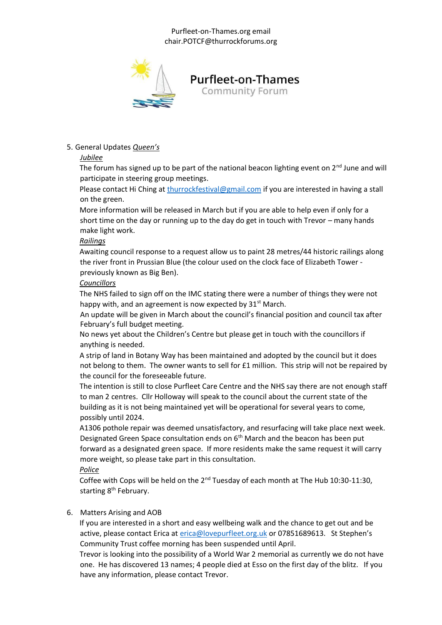#### Purfleet-on-Thames.org email chair.POTCF@thurrockforums.org



# 5. General Updates *Queen's*

# *Jubilee*

The forum has signed up to be part of the national beacon lighting event on  $2^{nd}$  June and will participate in steering group meetings.

Please contact Hi Ching at thurrockfestival@gmail.com if you are interested in having a stall on the green.

More information will be released in March but if you are able to help even if only for a short time on the day or running up to the day do get in touch with Trevor – many hands make light work.

## *Railings*

Awaiting council response to a request allow us to paint 28 metres/44 historic railings along the river front in Prussian Blue (the colour used on the clock face of Elizabeth Tower previously known as Big Ben).

## *Councillors*

The NHS failed to sign off on the IMC stating there were a number of things they were not happy with, and an agreement is now expected by  $31<sup>st</sup>$  March.

An update will be given in March about the council's financial position and council tax after February's full budget meeting.

No news yet about the Children's Centre but please get in touch with the councillors if anything is needed.

A strip of land in Botany Way has been maintained and adopted by the council but it does not belong to them. The owner wants to sell for £1 million. This strip will not be repaired by the council for the foreseeable future.

The intention is still to close Purfleet Care Centre and the NHS say there are not enough staff to man 2 centres. Cllr Holloway will speak to the council about the current state of the building as it is not being maintained yet will be operational for several years to come, possibly until 2024.

A1306 pothole repair was deemed unsatisfactory, and resurfacing will take place next week. Designated Green Space consultation ends on  $6<sup>th</sup>$  March and the beacon has been put forward as a designated green space. If more residents make the same request it will carry more weight, so please take part in this consultation.

## *Police*

Coffee with Cops will be held on the  $2^{nd}$  Tuesday of each month at The Hub 10:30-11:30, starting 8<sup>th</sup> February.

## 6. Matters Arising and AOB

If you are interested in a short and easy wellbeing walk and the chance to get out and be active, please contact Erica at erica@lovepurfleet.org.uk or 07851689613. St Stephen's Community Trust coffee morning has been suspended until April.

Trevor is looking into the possibility of a World War 2 memorial as currently we do not have one. He has discovered 13 names; 4 people died at Esso on the first day of the blitz. If you have any information, please contact Trevor.